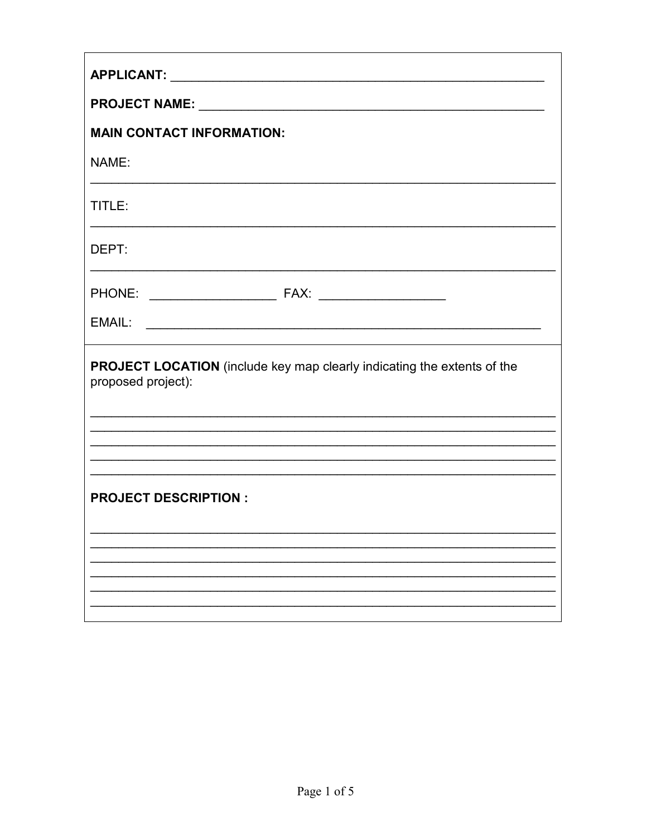| <b>MAIN CONTACT INFORMATION:</b>                                                                     |
|------------------------------------------------------------------------------------------------------|
| NAME:                                                                                                |
| TITLE:                                                                                               |
| DEPT:                                                                                                |
|                                                                                                      |
|                                                                                                      |
| <b>PROJECT LOCATION</b> (include key map clearly indicating the extents of the<br>proposed project): |
|                                                                                                      |
|                                                                                                      |
| <b>PROJECT DESCRIPTION:</b>                                                                          |
|                                                                                                      |
|                                                                                                      |
|                                                                                                      |
|                                                                                                      |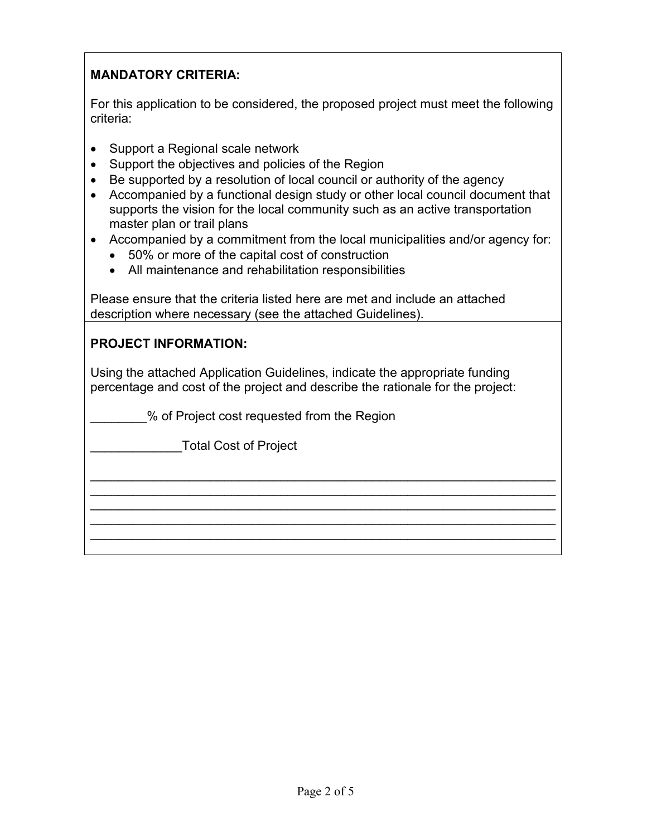## **MANDATORY CRITERIA:**

For this application to be considered, the proposed project must meet the following criteria:

- Support a Regional scale network
- Support the objectives and policies of the Region
- Be supported by a resolution of local council or authority of the agency
- Accompanied by a functional design study or other local council document that supports the vision for the local community such as an active transportation master plan or trail plans
- Accompanied by a commitment from the local municipalities and/or agency for:
	- 50% or more of the capital cost of construction
	- All maintenance and rehabilitation responsibilities

Please ensure that the criteria listed here are met and include an attached description where necessary (see the attached Guidelines).

## **PROJECT INFORMATION:**

Using the attached Application Guidelines, indicate the appropriate funding percentage and cost of the project and describe the rationale for the project:

 $\overline{\phantom{a}}$  , and the contribution of the contribution of the contribution of the contribution of the contribution of the contribution of the contribution of the contribution of the contribution of the contribution of the  $\overline{\phantom{a}}$  , and the contribution of the contribution of the contribution of the contribution of the contribution of the contribution of the contribution of the contribution of the contribution of the contribution of the  $\overline{\phantom{a}}$  , and the contribution of the contribution of the contribution of the contribution of the contribution of the contribution of the contribution of the contribution of the contribution of the contribution of the  $\overline{\phantom{a}}$  , and the contribution of the contribution of the contribution of the contribution of the contribution of the contribution of the contribution of the contribution of the contribution of the contribution of the  $\overline{\phantom{a}}$  , and the contribution of the contribution of the contribution of the contribution of the contribution of the contribution of the contribution of the contribution of the contribution of the contribution of the

\_\_\_\_\_\_\_\_% of Project cost requested from the Region

\_\_\_\_\_\_\_\_\_\_\_\_\_Total Cost of Project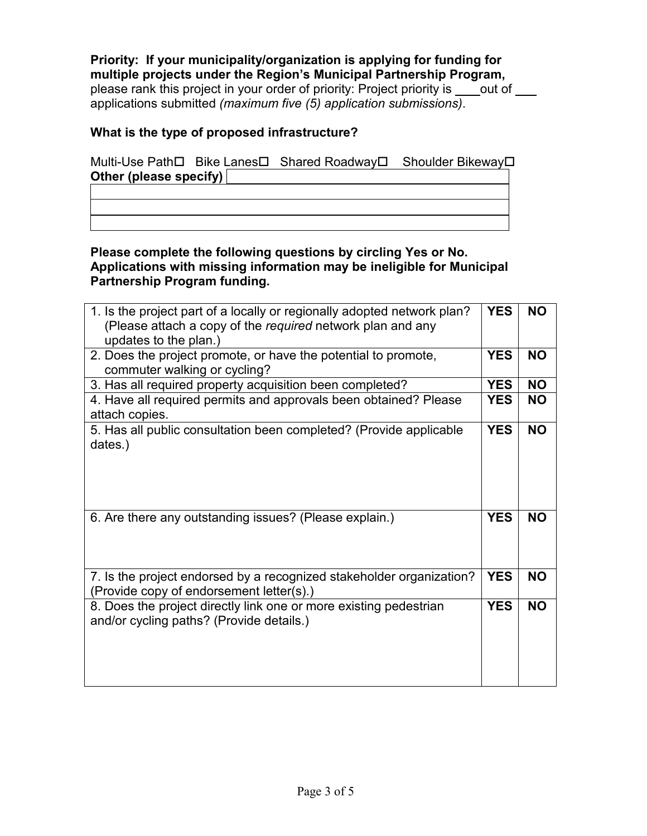**Priority: If your municipality/organization is applying for funding for multiple projects under the Region's Municipal Partnership Program,**  please rank this project in your order of priority: Project priority is \_\_\_\_ out of \_\_\_ applications submitted *(maximum five (5) application submissions)*.

## **What is the type of proposed infrastructure?**

Multi-Use Path Bike Lanes D Shared Roadway D Shoulder Bikeway D **Other (please specify)** 

**Please complete the following questions by circling Yes or No. Applications with missing information may be ineligible for Municipal Partnership Program funding.**

| 1. Is the project part of a locally or regionally adopted network plan?<br>(Please attach a copy of the required network plan and any<br>updates to the plan.) | <b>YES</b> | <b>NO</b> |
|----------------------------------------------------------------------------------------------------------------------------------------------------------------|------------|-----------|
| 2. Does the project promote, or have the potential to promote,<br>commuter walking or cycling?                                                                 | <b>YES</b> | <b>NO</b> |
| 3. Has all required property acquisition been completed?                                                                                                       | <b>YES</b> | <b>NO</b> |
| 4. Have all required permits and approvals been obtained? Please<br>attach copies.                                                                             | <b>YES</b> | <b>NO</b> |
| 5. Has all public consultation been completed? (Provide applicable<br>dates.)                                                                                  | <b>YES</b> | <b>NO</b> |
| 6. Are there any outstanding issues? (Please explain.)                                                                                                         | <b>YES</b> | <b>NO</b> |
| 7. Is the project endorsed by a recognized stakeholder organization?<br>(Provide copy of endorsement letter(s).)                                               | <b>YES</b> | <b>NO</b> |
| 8. Does the project directly link one or more existing pedestrian<br>and/or cycling paths? (Provide details.)                                                  | <b>YES</b> | <b>NO</b> |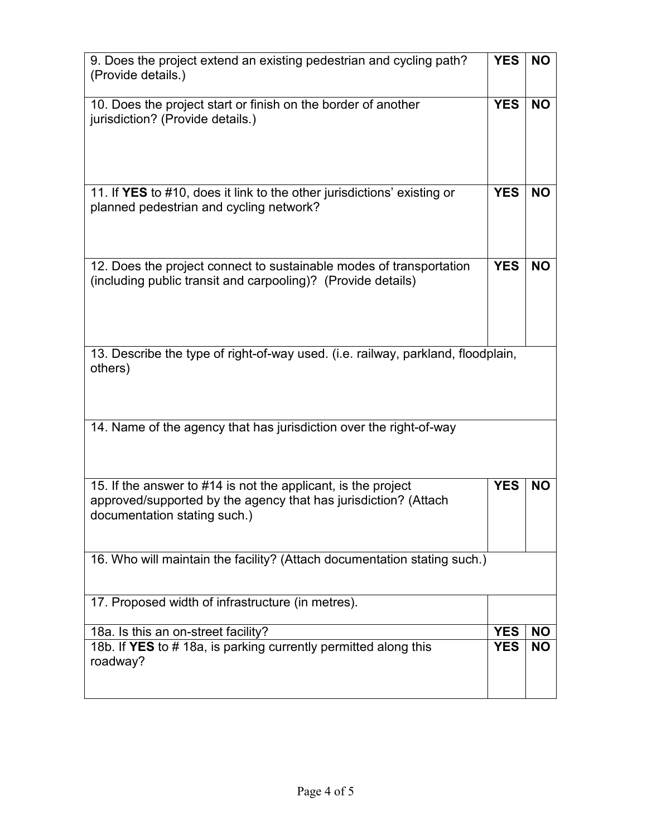| 9. Does the project extend an existing pedestrian and cycling path?<br>(Provide details.)                                                                        | <b>YES</b> | <b>NO</b> |
|------------------------------------------------------------------------------------------------------------------------------------------------------------------|------------|-----------|
| 10. Does the project start or finish on the border of another<br>jurisdiction? (Provide details.)                                                                | <b>YES</b> | <b>NO</b> |
| 11. If YES to #10, does it link to the other jurisdictions' existing or<br>planned pedestrian and cycling network?                                               | <b>YES</b> | <b>NO</b> |
| 12. Does the project connect to sustainable modes of transportation<br>(including public transit and carpooling)? (Provide details)                              | <b>YES</b> | <b>NO</b> |
| 13. Describe the type of right-of-way used. (i.e. railway, parkland, floodplain,<br>others)                                                                      |            |           |
| 14. Name of the agency that has jurisdiction over the right-of-way                                                                                               |            |           |
| 15. If the answer to #14 is not the applicant, is the project<br>approved/supported by the agency that has jurisdiction? (Attach<br>documentation stating such.) | <b>YES</b> | <b>NO</b> |
| 16. Who will maintain the facility? (Attach documentation stating such.)                                                                                         |            |           |
| 17. Proposed width of infrastructure (in metres).                                                                                                                |            |           |
| 18a. Is this an on-street facility?                                                                                                                              | <b>YES</b> | <b>NO</b> |
| 18b. If YES to #18a, is parking currently permitted along this<br>roadway?                                                                                       | <b>YES</b> | <b>NO</b> |